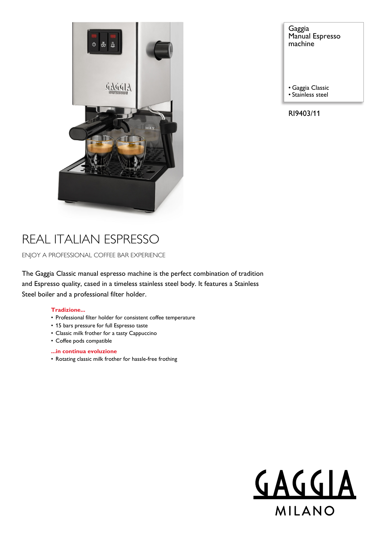

Gaggia Manual Espresso machine

• Gaggia Classic

• Stainless steel

RI9403/11

# REAL ITALIAN ESPRESSO

ENJOY A PROFESSIONAL COFFEE BAR EXPERIENCE

The Gaggia Classic manual espresso machine is the perfect combination of tradition and Espresso quality, cased in a timeless stainless steel body. It features a Stainless Steel boiler and a professional filter holder.

### **Tradizione...**

- Professional filter holder for consistent coffee temperature
- 15 bars pressure for full Espresso taste
- Classic milk frother for a tasty Cappuccino
- Coffee pods compatible

### **...in continua evoluzione**

• Rotating classic milk frother for hassle-free frothing